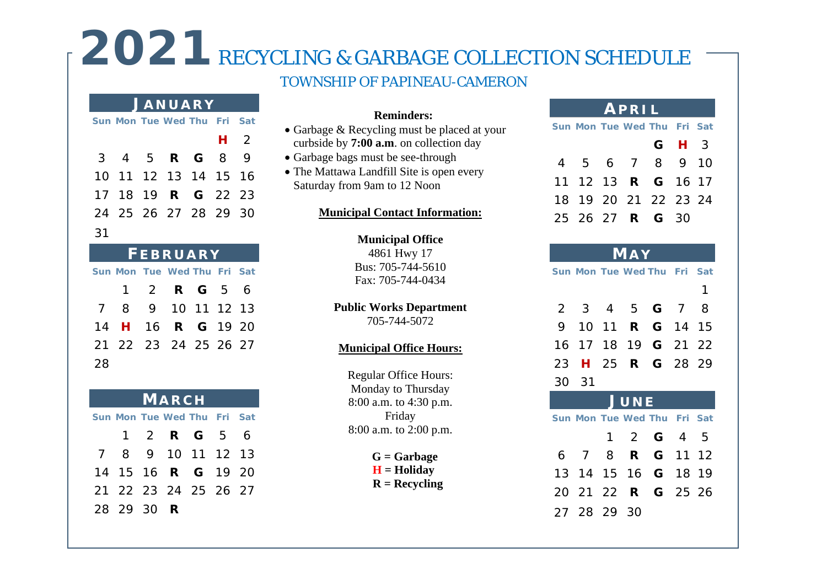# 2021 RECYCLING & GARBAGE COLLECTION SCHEDULE

# TOWNSHIP OF PAPINEAU-CAMERON

## **J ANUARY**

|     |  | Sun Mon Tue Wed Thu Fri Sat |                |  |
|-----|--|-----------------------------|----------------|--|
|     |  |                             | H <sub>2</sub> |  |
|     |  | 3 4 5 <b>R G</b> 8 9        |                |  |
|     |  | 10 11 12 13 14 15 16        |                |  |
|     |  | 17 18 19 <b>R G</b> 22 23   |                |  |
|     |  | 24 25 26 27 28 29 30        |                |  |
| -31 |  |                             |                |  |

| FEBRUARY |                             |  |                    |  |  |  |  |  |  |  |
|----------|-----------------------------|--|--------------------|--|--|--|--|--|--|--|
|          | Sun Mon Tue Wed Thu Fri Sat |  |                    |  |  |  |  |  |  |  |
|          |                             |  | 1 2 <b>R G</b> 5 6 |  |  |  |  |  |  |  |
|          | 7 8 9 10 11 12 13           |  |                    |  |  |  |  |  |  |  |
|          | 14 H 16 R G 19 20           |  |                    |  |  |  |  |  |  |  |
|          | 21 22 23 24 25 26 27        |  |                    |  |  |  |  |  |  |  |
| 28       |                             |  |                    |  |  |  |  |  |  |  |

| MARCH |                             |  |                    |  |  |  |  |  |  |
|-------|-----------------------------|--|--------------------|--|--|--|--|--|--|
|       | Sun Mon Tue Wed Thu Fri Sat |  |                    |  |  |  |  |  |  |
|       |                             |  | 1 2 <b>R G</b> 5 6 |  |  |  |  |  |  |
|       | 7 8 9 10 11 12 13           |  |                    |  |  |  |  |  |  |
|       | 14 15 16 <b>R G</b> 19 20   |  |                    |  |  |  |  |  |  |
|       | 21 22 23 24 25 26 27        |  |                    |  |  |  |  |  |  |
|       | 28 29 30 R                  |  |                    |  |  |  |  |  |  |

### **Reminders:**

- Garbage & Recycling must be placed at your curbside by **7:00 a.m**. on collection day
- Garbage bags must be see-through
- The Mattawa Landfill Site is open every Saturday from 9am to 12 Noon

### **Municipal Contact Information:**

**Municipal Office**

4861 Hwy 17 Bus: 705-744-5610 Fax: 705-744-0434

### **Public Works Department** 705-744-5072

### **Municipal Office Hours:**

Regular Office Hours: Monday to Thursday 8:00 a.m. to 4:30 p.m. Friday 8:00 a.m. to 2:00 p.m.

> **G = Garbage H = Holiday**

 **R = Recycling**

# **APRIL**

|  | Sun Mon Tue Wed Thu Fri Sat |              |  |
|--|-----------------------------|--------------|--|
|  |                             | <b>G H</b> 3 |  |
|  | 4 5 6 7 8 9 10              |              |  |
|  | 11 12 13 R G 16 17          |              |  |
|  | 18 19 20 21 22 23 24        |              |  |
|  | 25 26 27 <b>R G</b> 30      |              |  |

| MAY |     |                |                             |             |                |       |  |  |
|-----|-----|----------------|-----------------------------|-------------|----------------|-------|--|--|
|     |     |                | Sun Mon Tue Wed Thu Fri     |             |                | Sat   |  |  |
|     |     |                |                             |             |                | 1     |  |  |
| 2   | - 3 | $\overline{4}$ | $-5$                        | $G \quad 7$ |                | -8    |  |  |
| 9   |     |                | 10 11 <b>R G</b> 14 15      |             |                |       |  |  |
| 16  |     |                | 17 18 19 <b>G</b> 21        |             |                | 22    |  |  |
| 23  |     | $H$ 25         | <b>R</b>                    |             | G 28 29        |       |  |  |
| 30  | 31  |                |                             |             |                |       |  |  |
|     |     |                | JUNE                        |             |                |       |  |  |
|     |     |                | Sun Mon Tue Wed Thu Fri Sat |             |                |       |  |  |
|     |     | 1              | $\overline{2}$              | G           | $\overline{4}$ | - 5   |  |  |
| 6   | - 7 |                | 8 R                         | G           | 11             | 12    |  |  |
|     |     |                |                             |             |                |       |  |  |
| 13  | 14  | 15             | 16 <b>G</b>                 |             |                | 18 19 |  |  |
|     |     |                | 20 21 22 <b>R</b>           | G           |                | 25 26 |  |  |